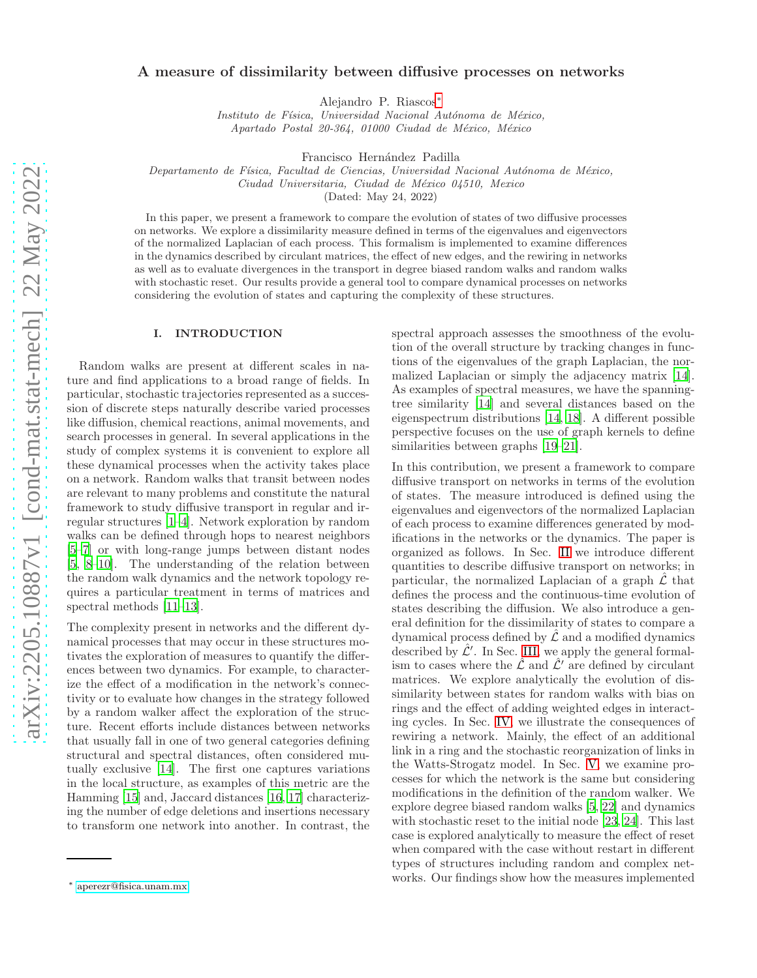# A measure of dissimilarity between diffusive processes on networks

Alejandro P. Riascos[∗](#page-0-0)

Instituto de Física, Universidad Nacional Autónoma de México, Apartado Postal 20-364, 01000 Ciudad de México, México

Francisco Hernández Padilla

Departamento de Física, Facultad de Ciencias, Universidad Nacional Autónoma de México,

Ciudad Universitaria, Ciudad de México 04510, Mexico

(Dated: May 24, 2022)

In this paper, we present a framework to compare the evolution of states of two diffusive processes on networks. We explore a dissimilarity measure defined in terms of the eigenvalues and eigenvectors of the normalized Laplacian of each process. This formalism is implemented to examine differences in the dynamics described by circulant matrices, the effect of new edges, and the rewiring in networks as well as to evaluate divergences in the transport in degree biased random walks and random walks with stochastic reset. Our results provide a general tool to compare dynamical processes on networks considering the evolution of states and capturing the complexity of these structures.

# I. INTRODUCTION

Random walks are present at different scales in nature and find applications to a broad range of fields. In particular, stochastic trajectories represented as a succession of discrete steps naturally describe varied processes like diffusion, chemical reactions, animal movements, and search processes in general. In several applications in the study of complex systems it is convenient to explore all these dynamical processes when the activity takes place on a network. Random walks that transit between nodes are relevant to many problems and constitute the natural framework to study diffusive transport in regular and irregular structures [\[1](#page-10-0)[–4](#page-10-1)]. Network exploration by random walks can be defined through hops to nearest neighbors [\[5](#page-10-2)[–7\]](#page-10-3) or with long-range jumps between distant nodes [\[5,](#page-10-2) [8](#page-10-4)[–10\]](#page-10-5). The understanding of the relation between the random walk dynamics and the network topology requires a particular treatment in terms of matrices and spectral methods [\[11](#page-10-6)[–13](#page-10-7)].

The complexity present in networks and the different dynamical processes that may occur in these structures motivates the exploration of measures to quantify the differences between two dynamics. For example, to characterize the effect of a modification in the network's connectivity or to evaluate how changes in the strategy followed by a random walker affect the exploration of the structure. Recent efforts include distances between networks that usually fall in one of two general categories defining structural and spectral distances, often considered mutually exclusive [\[14](#page-10-8)]. The first one captures variations in the local structure, as examples of this metric are the Hamming [\[15\]](#page-10-9) and, Jaccard distances [\[16](#page-10-10), [17](#page-10-11)] characterizing the number of edge deletions and insertions necessary to transform one network into another. In contrast, the spectral approach assesses the smoothness of the evolution of the overall structure by tracking changes in functions of the eigenvalues of the graph Laplacian, the normalized Laplacian or simply the adjacency matrix [\[14\]](#page-10-8). As examples of spectral measures, we have the spanningtree similarity [\[14\]](#page-10-8) and several distances based on the eigenspectrum distributions [\[14,](#page-10-8) [18\]](#page-10-12). A different possible perspective focuses on the use of graph kernels to define similarities between graphs [\[19](#page-10-13)[–21\]](#page-10-14).

In this contribution, we present a framework to compare diffusive transport on networks in terms of the evolution of states. The measure introduced is defined using the eigenvalues and eigenvectors of the normalized Laplacian of each process to examine differences generated by modifications in the networks or the dynamics. The paper is organized as follows. In Sec. [II](#page-1-0) we introduce different quantities to describe diffusive transport on networks; in particular, the normalized Laplacian of a graph  $\hat{\mathcal{L}}$  that defines the process and the continuous-time evolution of states describing the diffusion. We also introduce a general definition for the dissimilarity of states to compare a dynamical process defined by  $\hat{\mathcal{L}}$  and a modified dynamics described by  $\hat{\mathcal{L}}'$ . In Sec. [III,](#page-2-0) we apply the general formalism to cases where the  $\hat{\mathcal{L}}$  and  $\hat{\mathcal{L}}'$  are defined by circulant matrices. We explore analytically the evolution of dissimilarity between states for random walks with bias on rings and the effect of adding weighted edges in interacting cycles. In Sec. [IV,](#page-5-0) we illustrate the consequences of rewiring a network. Mainly, the effect of an additional link in a ring and the stochastic reorganization of links in the Watts-Strogatz model. In Sec. [V,](#page-7-0) we examine processes for which the network is the same but considering modifications in the definition of the random walker. We explore degree biased random walks [\[5,](#page-10-2) [22](#page-11-0)] and dynamics with stochastic reset to the initial node [\[23,](#page-11-1) [24\]](#page-11-2). This last case is explored analytically to measure the effect of reset when compared with the case without restart in different types of structures including random and complex networks. Our findings show how the measures implemented

<span id="page-0-0"></span><sup>∗</sup> [aperezr@fisica.unam.mx](mailto:aperezr@fisica.unam.mx)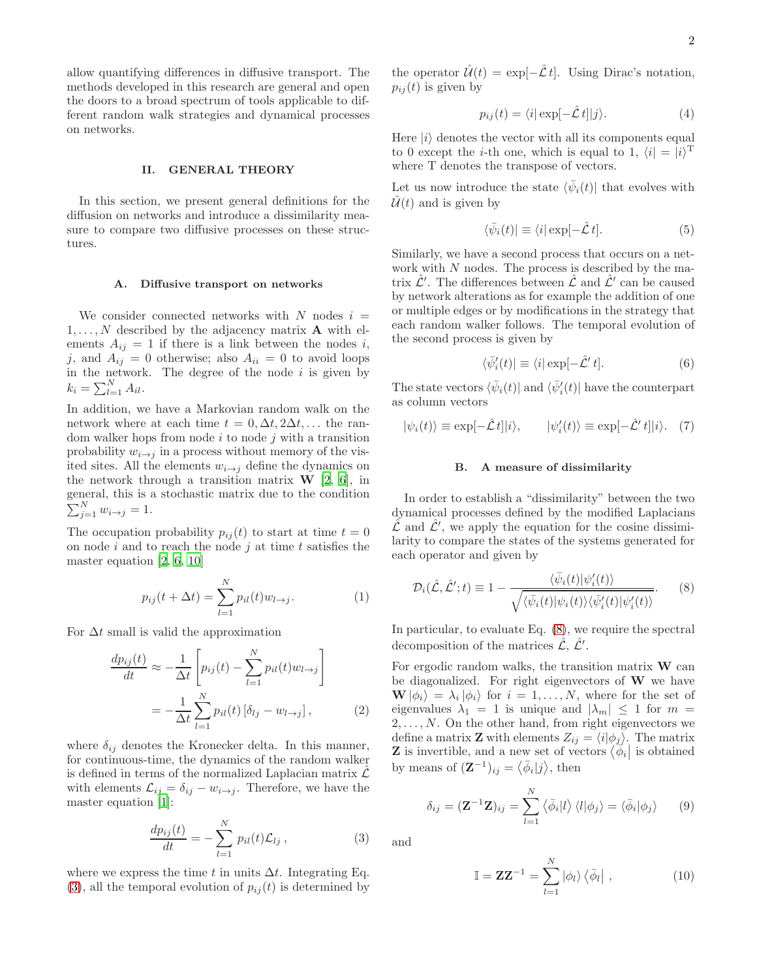allow quantifying differences in diffusive transport. The methods developed in this research are general and open the doors to a broad spectrum of tools applicable to different random walk strategies and dynamical processes on networks.

## <span id="page-1-0"></span>II. GENERAL THEORY

In this section, we present general definitions for the diffusion on networks and introduce a dissimilarity measure to compare two diffusive processes on these structures.

# A. Diffusive transport on networks

We consider connected networks with N nodes  $i =$  $1, \ldots, N$  described by the adjacency matrix **A** with elements  $A_{ij} = 1$  if there is a link between the nodes i, j, and  $A_{ij} = 0$  otherwise; also  $A_{ii} = 0$  to avoid loops in the network. The degree of the node  $i$  is given by  $k_i = \sum_{l=1}^{N} A_{il}.$ 

In addition, we have a Markovian random walk on the network where at each time  $t = 0, \Delta t, 2\Delta t, \ldots$  the random walker hops from node  $i$  to node  $j$  with a transition probability  $w_{i\rightarrow j}$  in a process without memory of the visited sites. All the elements  $w_{i\rightarrow j}$  define the dynamics on the network through a transition matrix  $W$  [\[2](#page-10-15), [6\]](#page-10-16), in general, this is a stochastic matrix due to the condition  $\sum_{j=1}^{N} w_{i \to j} = 1.$ 

The occupation probability  $p_{ij}(t)$  to start at time  $t = 0$ on node i and to reach the node j at time t satisfies the master equation [\[2](#page-10-15), [6](#page-10-16), [10](#page-10-5)]

$$
p_{ij}(t + \Delta t) = \sum_{l=1}^{N} p_{il}(t) w_{l \to j}.
$$
 (1)

For  $\Delta t$  small is valid the approximation

$$
\frac{dp_{ij}(t)}{dt} \approx -\frac{1}{\Delta t} \left[ p_{ij}(t) - \sum_{l=1}^{N} p_{il}(t) w_{l \to j} \right]
$$

$$
= -\frac{1}{\Delta t} \sum_{l=1}^{N} p_{il}(t) \left[ \delta_{lj} - w_{l \to j} \right], \tag{2}
$$

where  $\delta_{ij}$  denotes the Kronecker delta. In this manner, for continuous-time, the dynamics of the random walker is defined in terms of the normalized Laplacian matrix  $\hat{\mathcal{L}}$ with elements  $\mathcal{L}_{ij} = \delta_{ij} - w_{i \to j}$ . Therefore, we have the master equation [\[1](#page-10-0)]:

<span id="page-1-1"></span>
$$
\frac{dp_{ij}(t)}{dt} = -\sum_{l=1}^{N} p_{il}(t)\mathcal{L}_{lj},\qquad(3)
$$

where we express the time t in units  $\Delta t$ . Integrating Eq.  $(3)$ , all the temporal evolution of  $p_{ij}(t)$  is determined by

the operator  $\hat{\mathcal{U}}(t) = \exp[-\hat{\mathcal{L}} t]$ . Using Dirac's notation,  $p_{ij}(t)$  is given by

$$
p_{ij}(t) = \langle i | \exp[-\hat{\mathcal{L}} \, t] | j \rangle. \tag{4}
$$

Here  $|i\rangle$  denotes the vector with all its components equal to 0 except the *i*-th one, which is equal to 1,  $\langle i| = |i\rangle^T$ where T denotes the transpose of vectors.

Let us now introduce the state  $\langle \bar{\psi}_i(t) |$  that evolves with  $\hat{\mathcal{U}}(t)$  and is given by

<span id="page-1-5"></span>
$$
\langle \bar{\psi}_i(t) | \equiv \langle i | \exp[-\hat{\mathcal{L}} \, t]. \tag{5}
$$

Similarly, we have a second process that occurs on a network with N nodes. The process is described by the matrix  $\hat{\mathcal{L}}'$ . The differences between  $\hat{\mathcal{L}}$  and  $\hat{\mathcal{L}}'$  can be caused by network alterations as for example the addition of one or multiple edges or by modifications in the strategy that each random walker follows. The temporal evolution of the second process is given by

$$
\langle \bar{\psi}'_i(t) | \equiv \langle i | \exp[-\hat{\mathcal{L}}' t]. \tag{6}
$$

The state vectors  $\langle \bar{\psi}_i(t) |$  and  $\langle \bar{\psi}'_i(t) |$  have the counterpart as column vectors

<span id="page-1-6"></span>
$$
|\psi_i(t)\rangle \equiv \exp[-\hat{\mathcal{L}}\,t]|i\rangle, \qquad |\psi_i'(t)\rangle \equiv \exp[-\hat{\mathcal{L}}'\,t]|i\rangle. \tag{7}
$$

# B. A measure of dissimilarity

In order to establish a "dissimilarity" between the two dynamical processes defined by the modified Laplacians  $\hat{\mathcal{L}}$  and  $\hat{\mathcal{L}}'$ , we apply the equation for the cosine dissimilarity to compare the states of the systems generated for each operator and given by

<span id="page-1-2"></span>
$$
\mathcal{D}_i(\hat{\mathcal{L}}, \hat{\mathcal{L}}'; t) \equiv 1 - \frac{\langle \bar{\psi}_i(t) | \psi'_i(t) \rangle}{\sqrt{\langle \bar{\psi}_i(t) | \psi_i(t) \rangle \langle \bar{\psi}'_i(t) | \psi'_i(t) \rangle}}.
$$
(8)

In particular, to evaluate Eq. [\(8\)](#page-1-2), we require the spectral decomposition of the matrices  $\hat{\mathcal{L}}, \hat{\mathcal{L}}'$ .

For ergodic random walks, the transition matrix  $\bf{W}$  can be diagonalized. For right eigenvectors of W we have  $\mathbf{W}|\phi_i\rangle = \lambda_i |\phi_i\rangle$  for  $i = 1, ..., N$ , where for the set of eigenvalues  $\lambda_1 = 1$  is unique and  $|\lambda_m| \leq 1$  for  $m =$  $2, \ldots, N$ . On the other hand, from right eigenvectors we define a matrix **Z** with elements  $Z_{ij} = \langle i|\phi_j\rangle$ . The matrix **Z** is invertible, and a new set of vectors  $\langle \phi_i |$  is obtained by means of  $(\mathbf{Z}^{-1})_{ij} = \langle \bar{\phi}_i | j \rangle$ , then

<span id="page-1-3"></span>
$$
\delta_{ij} = (\mathbf{Z}^{-1}\mathbf{Z})_{ij} = \sum_{l=1}^{N} \langle \bar{\phi}_i | l \rangle \langle l | \phi_j \rangle = \langle \bar{\phi}_i | \phi_j \rangle \qquad (9)
$$

and

<span id="page-1-4"></span>
$$
\mathbb{I} = \mathbf{Z}\mathbf{Z}^{-1} = \sum_{l=1}^{N} |\phi_l\rangle \langle \bar{\phi}_l| , \qquad (10)
$$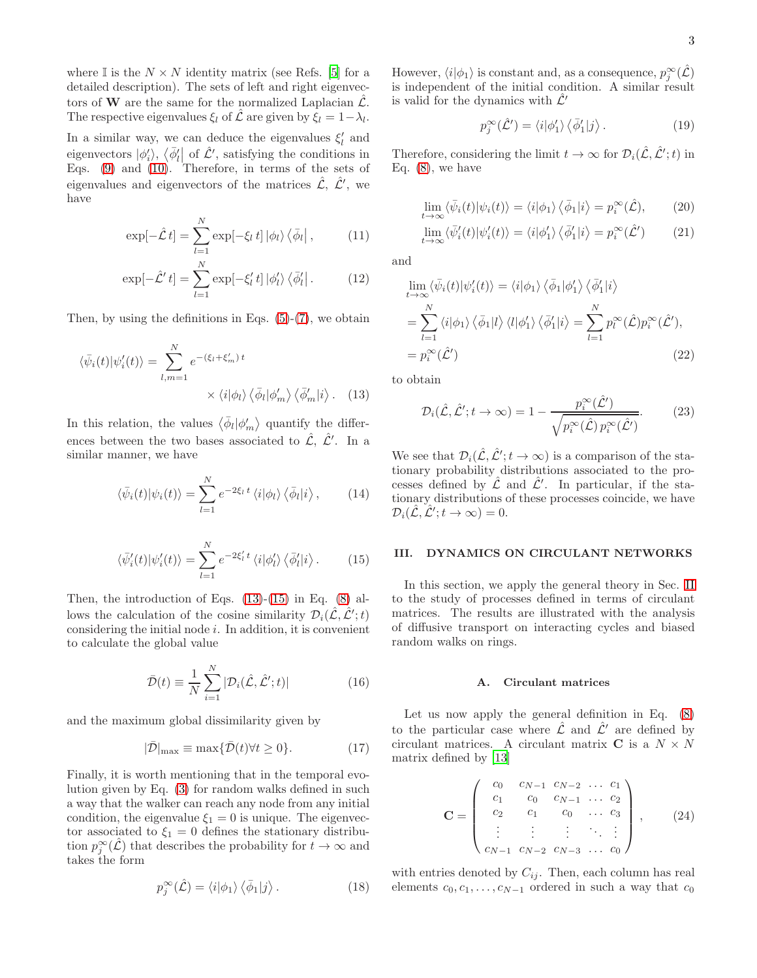where I is the  $N \times N$  identity matrix (see Refs. [\[5\]](#page-10-2) for a detailed description). The sets of left and right eigenvectors of **W** are the same for the normalized Laplacian  $\hat{\mathcal{L}}$ . The respective eigenvalues  $\xi_l$  of  $\hat{\mathcal{L}}$  are given by  $\overline{\xi_l} = 1 - \lambda_l$ . In a similar way, we can deduce the eigenvalues  $\xi'_{l}$  and eigenvectors  $|\phi'_i\rangle$ ,  $\langle \bar{\phi}'_l |$  of  $\hat{\mathcal{L}}'$ , satisfying the conditions in Eqs.  $(9)$  and  $(10)$ . Therefore, in terms of the sets of eigenvalues and eigenvectors of the matrices  $\hat{\mathcal{L}}, \hat{\mathcal{L}}'$ , we have

$$
\exp[-\hat{\mathcal{L}}t] = \sum_{l=1}^{N} \exp[-\xi_l t] |\phi_l\rangle \langle \bar{\phi}_l|, \qquad (11)
$$

$$
\exp[-\hat{\mathcal{L}}' t] = \sum_{l=1}^{N} \exp[-\xi'_{l} t] |\phi'_{l}\rangle \langle \bar{\phi}'_{l}|.
$$
 (12)

Then, by using the definitions in Eqs.  $(5)-(7)$  $(5)-(7)$ , we obtain

$$
\langle \bar{\psi}_i(t) | \psi'_i(t) \rangle = \sum_{l,m=1}^N e^{-(\xi_l + \xi'_m)t} \times \langle i | \phi_l \rangle \langle \bar{\phi}_l | \phi'_m \rangle \langle \bar{\phi}'_m | i \rangle. \quad (13)
$$

In this relation, the values  $\langle \bar{\phi}_l | \phi'_m \rangle$  quantify the differences between the two bases associated to  $\hat{\mathcal{L}}$ ,  $\hat{\mathcal{L}}'$ . In a similar manner, we have

$$
\langle \bar{\psi}_i(t) | \psi_i(t) \rangle = \sum_{l=1}^N e^{-2\xi_l t} \langle i | \phi_l \rangle \langle \bar{\phi}_l | i \rangle, \qquad (14)
$$

<span id="page-2-2"></span>
$$
\langle \bar{\psi}'_i(t) | \psi'_i(t) \rangle = \sum_{l=1}^N e^{-2\xi'_l t} \langle i | \phi'_l \rangle \langle \bar{\phi}'_l | i \rangle. \tag{15}
$$

Then, the introduction of Eqs.  $(13)-(15)$  $(13)-(15)$  in Eq.  $(8)$  allows the calculation of the cosine similarity  $\mathcal{D}_i(\hat{\mathcal{L}}, \hat{\mathcal{L}}'; t)$ considering the initial node  $i$ . In addition, it is convenient to calculate the global value

<span id="page-2-4"></span>
$$
\bar{\mathcal{D}}(t) \equiv \frac{1}{N} \sum_{i=1}^{N} |\mathcal{D}_i(\hat{\mathcal{L}}, \hat{\mathcal{L}}'; t)| \tag{16}
$$

and the maximum global dissimilarity given by

<span id="page-2-5"></span>
$$
|\bar{\mathcal{D}}|_{\text{max}} \equiv \max\{\bar{\mathcal{D}}(t) \forall t \ge 0\}. \tag{17}
$$

Finally, it is worth mentioning that in the temporal evolution given by Eq. [\(3\)](#page-1-1) for random walks defined in such a way that the walker can reach any node from any initial condition, the eigenvalue  $\xi_1 = 0$  is unique. The eigenvector associated to  $\xi_1 = 0$  defines the stationary distribution  $p_j^{\infty}(\hat{\mathcal{L}})$  that describes the probability for  $t \to \infty$  and takes the form

$$
p_j^{\infty}(\hat{\mathcal{L}}) = \langle i|\phi_1\rangle \langle \bar{\phi}_1|j\rangle. \tag{18}
$$

However,  $\langle i|\phi_1\rangle$  is constant and, as a consequence,  $p_j^{\infty}(\hat{\mathcal{L}})$ is independent of the initial condition. A similar result is valid for the dynamics with  $\mathcal{L}'$ 

$$
p_j^{\infty}(\hat{\mathcal{L}}') = \langle i|\phi'_1\rangle \langle \bar{\phi}'_1|j\rangle. \tag{19}
$$

Therefore, considering the limit  $t \to \infty$  for  $\mathcal{D}_i(\hat{\mathcal{L}}, \hat{\mathcal{L}}'; t)$  in Eq.  $(8)$ , we have

$$
\lim_{t \to \infty} \langle \bar{\psi}_i(t) | \psi_i(t) \rangle = \langle i | \phi_1 \rangle \langle \bar{\phi}_1 | i \rangle = p_i^{\infty}(\hat{\mathcal{L}}), \qquad (20)
$$

$$
\lim_{t \to \infty} \langle \bar{\psi}'_i(t) | \psi'_i(t) \rangle = \langle i | \phi'_1 \rangle \langle \bar{\phi}'_1 | i \rangle = p_i^{\infty}(\hat{\mathcal{L}}')
$$
 (21)

and

$$
\lim_{t \to \infty} \langle \bar{\psi}_i(t) | \psi'_i(t) \rangle = \langle i | \phi_1 \rangle \langle \bar{\phi}_1 | \phi'_1 \rangle \langle \bar{\phi}'_1 | i \rangle
$$
  
= 
$$
\sum_{l=1}^N \langle i | \phi_1 \rangle \langle \bar{\phi}_1 | l \rangle \langle l | \phi'_1 \rangle \langle \bar{\phi}'_1 | i \rangle = \sum_{l=1}^N p_l^{\infty}(\hat{\mathcal{L}}) p_i^{\infty}(\hat{\mathcal{L}}'),
$$
  
= 
$$
p_i^{\infty}(\hat{\mathcal{L}}')
$$
(22)

<span id="page-2-1"></span>to obtain

<span id="page-2-6"></span>
$$
\mathcal{D}_i(\hat{\mathcal{L}}, \hat{\mathcal{L}}'; t \to \infty) = 1 - \frac{p_i^{\infty}(\hat{\mathcal{L}}')}{\sqrt{p_i^{\infty}(\hat{\mathcal{L}}) p_i^{\infty}(\hat{\mathcal{L}}')}}.
$$
(23)

We see that  $\mathcal{D}_i(\hat{\mathcal{L}}, \hat{\mathcal{L}}'; t \to \infty)$  is a comparison of the stationary probability distributions associated to the processes defined by  $\hat{\mathcal{L}}$  and  $\hat{\mathcal{L}}'$ . In particular, if the stationary distributions of these processes coincide, we have  $\mathcal{D}_i(\hat{\mathcal{L}}, \hat{\mathcal{L}}'; t \to \infty) = 0.$ 

## <span id="page-2-0"></span>III. DYNAMICS ON CIRCULANT NETWORKS

In this section, we apply the general theory in Sec. [II](#page-1-0) to the study of processes defined in terms of circulant matrices. The results are illustrated with the analysis of diffusive transport on interacting cycles and biased random walks on rings.

#### A. Circulant matrices

Let us now apply the general definition in Eq. [\(8\)](#page-1-2) to the particular case where  $\hat{\mathcal{L}}$  and  $\hat{\mathcal{L}}'$  are defined by circulant matrices. A circulant matrix C is a  $N \times N$ matrix defined by [\[13](#page-10-7)]

<span id="page-2-3"></span>
$$
\mathbf{C} = \begin{pmatrix} c_0 & c_{N-1} & c_{N-2} & \dots & c_1 \\ c_1 & c_0 & c_{N-1} & \dots & c_2 \\ c_2 & c_1 & c_0 & \dots & c_3 \\ \vdots & \vdots & \vdots & \ddots & \vdots \\ c_{N-1} & c_{N-2} & c_{N-3} & \dots & c_0 \end{pmatrix}, \quad (24)
$$

with entries denoted by  $C_{ij}$ . Then, each column has real elements  $c_0, c_1, \ldots, c_{N-1}$  ordered in such a way that  $c_0$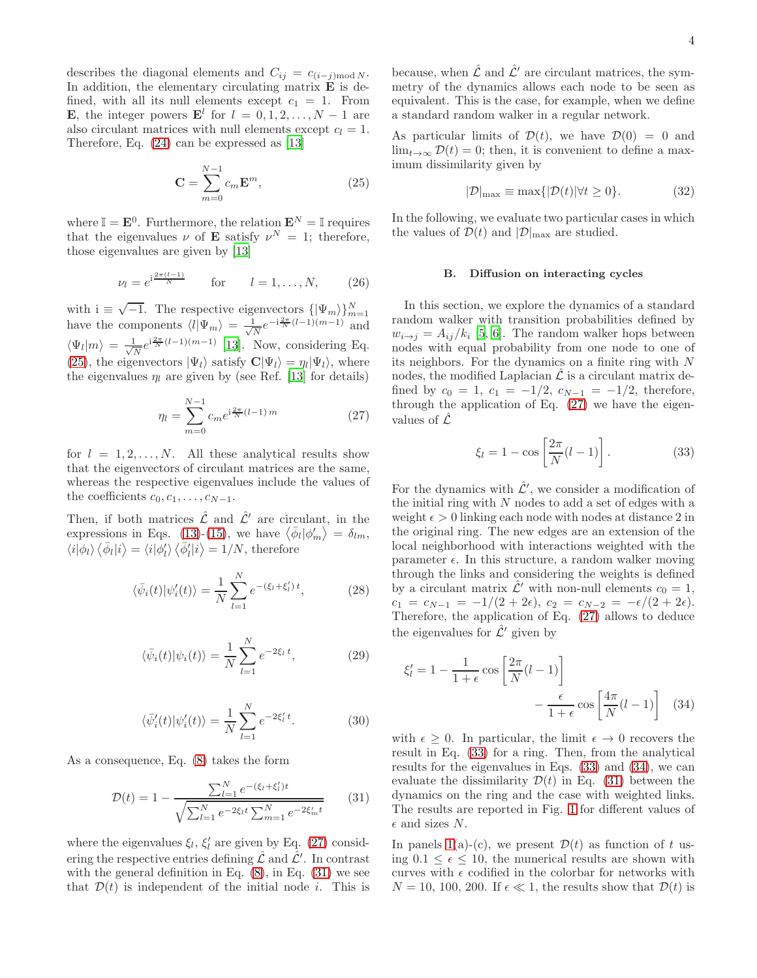describes the diagonal elements and  $C_{ij} = c_{(i-j) \text{mod} N}$ . In addition, the elementary circulating matrix  $\bf{E}$  is defined, with all its null elements except  $c_1 = 1$ . From **E**, the integer powers  $\mathbf{E}^l$  for  $l = 0, 1, 2, ..., N - 1$  are also circulant matrices with null elements except  $c_l = 1$ . Therefore, Eq. [\(24\)](#page-2-3) can be expressed as [\[13\]](#page-10-7)

<span id="page-3-0"></span>
$$
\mathbf{C} = \sum_{m=0}^{N-1} c_m \mathbf{E}^m,
$$
 (25)

where  $\mathbb{I} = \mathbf{E}^0$ . Furthermore, the relation  $\mathbf{E}^N = \mathbb{I}$  requires that the eigenvalues  $\nu$  of **E** satisfy  $\nu^N = 1$ ; therefore, those eigenvalues are given by [\[13\]](#page-10-7)

$$
\nu_l = e^{i\frac{2\pi (l-1)}{N}}
$$
 for  $l = 1, ..., N,$  (26)

with  $i \equiv \sqrt{-1}$ . The respective eigenvectors  $\{|\Psi_m\rangle\}_{m=1}^N$ have the components  $\langle l|\Psi_m\rangle = \frac{1}{\sqrt{l}}$  $\frac{1}{N}e^{-i\frac{2\pi}{N}(l-1)(m-1)}$  and  $\langle \Psi_l | m \rangle = \frac{1}{\sqrt{l}}$  $\frac{1}{N}e^{i\frac{2\pi}{N}(l-1)(m-1)}$  [\[13\]](#page-10-7). Now, considering Eq. [\(25\)](#page-3-0), the eigenvectors  $|\Psi_l\rangle$  satisfy  $\mathbf{C}|\Psi_l\rangle = \eta_l |\Psi_l\rangle$ , where the eigenvalues  $\eta_l$  are given by (see Ref. [\[13](#page-10-7)] for details)

<span id="page-3-1"></span>
$$
\eta_l = \sum_{m=0}^{N-1} c_m e^{i\frac{2\pi}{N}(l-1)m} \tag{27}
$$

for  $l = 1, 2, \ldots, N$ . All these analytical results show that the eigenvectors of circulant matrices are the same, whereas the respective eigenvalues include the values of the coefficients  $c_0, c_1, \ldots, c_{N-1}$ .

Then, if both matrices  $\hat{\mathcal{L}}$  and  $\hat{\mathcal{L}}'$  are circulant, in the expressions in Eqs. [\(13\)](#page-2-1)-[\(15\)](#page-2-2), we have  $\langle \bar{\phi}_l | \phi'_m \rangle = \delta_{lm}$ ,  $\langle i|\phi_l\rangle \langle \bar{\phi}_l|i\rangle = \langle i|\phi_l'\rangle \langle \bar{\phi}_l'|i\rangle = 1/N$ , therefore

$$
\langle \bar{\psi}_i(t) | \psi'_i(t) \rangle = \frac{1}{N} \sum_{l=1}^N e^{-(\xi_l + \xi'_l)t}, \tag{28}
$$

$$
\langle \bar{\psi}_i(t) | \psi_i(t) \rangle = \frac{1}{N} \sum_{l=1}^{N} e^{-2\xi_l t}, \qquad (29)
$$

$$
\langle \bar{\psi}'_i(t) | \psi'_i(t) \rangle = \frac{1}{N} \sum_{l=1}^N e^{-2\xi'_l t}.
$$
 (30)

As a consequence, Eq. [\(8\)](#page-1-2) takes the form

<span id="page-3-2"></span>
$$
\mathcal{D}(t) = 1 - \frac{\sum_{l=1}^{N} e^{-(\xi_l + \xi'_l)t}}{\sqrt{\sum_{l=1}^{N} e^{-2\xi_l t} \sum_{m=1}^{N} e^{-2\xi'_m t}}}
$$
(31)

where the eigenvalues  $\xi_l$ ,  $\xi'_l$  are given by Eq. [\(27\)](#page-3-1) considering the respective entries defining  $\hat{\mathcal{L}}$  and  $\hat{\mathcal{L}}'$ . In contrast with the general definition in Eq.  $(8)$ , in Eq.  $(31)$  we see that  $\mathcal{D}(t)$  is independent of the initial node *i*. This is

because, when  $\hat{\mathcal{L}}$  and  $\hat{\mathcal{L}}'$  are circulant matrices, the symmetry of the dynamics allows each node to be seen as equivalent. This is the case, for example, when we define a standard random walker in a regular network.

As particular limits of  $\mathcal{D}(t)$ , we have  $\mathcal{D}(0) = 0$  and  $\lim_{t\to\infty} \mathcal{D}(t) = 0$ ; then, it is convenient to define a maximum dissimilarity given by

<span id="page-3-5"></span>
$$
|\mathcal{D}|_{\max} \equiv \max\{|\mathcal{D}(t)| \forall t \ge 0\}.
$$
 (32)

In the following, we evaluate two particular cases in which the values of  $\mathcal{D}(t)$  and  $|\mathcal{D}|_{\text{max}}$  are studied.

## <span id="page-3-6"></span>B. Diffusion on interacting cycles

In this section, we explore the dynamics of a standard random walker with transition probabilities defined by  $w_{i\rightarrow j} = A_{ij}/k_i$  [\[5,](#page-10-2) [6\]](#page-10-16). The random walker hops between nodes with equal probability from one node to one of its neighbors. For the dynamics on a finite ring with N nodes, the modified Laplacian  $\hat{\mathcal{L}}$  is a circulant matrix defined by  $c_0 = 1$ ,  $c_1 = -1/2$ ,  $c_{N-1} = -1/2$ , therefore, through the application of Eq. [\(27\)](#page-3-1) we have the eigenvalues of  $\hat{\mathcal{L}}$ 

<span id="page-3-3"></span>
$$
\xi_l = 1 - \cos\left[\frac{2\pi}{N}(l-1)\right].\tag{33}
$$

For the dynamics with  $\hat{\mathcal{L}}'$ , we consider a modification of the initial ring with  $N$  nodes to add a set of edges with a weight  $\epsilon > 0$  linking each node with nodes at distance 2 in the original ring. The new edges are an extension of the local neighborhood with interactions weighted with the parameter  $\epsilon$ . In this structure, a random walker moving through the links and considering the weights is defined by a circulant matrix  $\mathcal{L}'$  with non-null elements  $c_0 = 1$ ,  $c_1 = c_{N-1} = -1/(2 + 2\epsilon), c_2 = c_{N-2} = -\epsilon/(2 + 2\epsilon).$ Therefore, the application of Eq. [\(27\)](#page-3-1) allows to deduce the eigenvalues for  $\hat{\mathcal{L}}'$  given by

<span id="page-3-4"></span>
$$
\xi'_{l} = 1 - \frac{1}{1+\epsilon} \cos\left[\frac{2\pi}{N}(l-1)\right] - \frac{\epsilon}{1+\epsilon} \cos\left[\frac{4\pi}{N}(l-1)\right]
$$
(34)

with  $\epsilon \geq 0$ . In particular, the limit  $\epsilon \to 0$  recovers the result in Eq. [\(33\)](#page-3-3) for a ring. Then, from the analytical results for the eigenvalues in Eqs. [\(33\)](#page-3-3) and [\(34\)](#page-3-4), we can evaluate the dissimilarity  $\mathcal{D}(t)$  in Eq. [\(31\)](#page-3-2) between the dynamics on the ring and the case with weighted links. The results are reported in Fig. [1](#page-4-0) for different values of  $\epsilon$  and sizes N.

In panels [1\(](#page-4-0)a)-(c), we present  $\mathcal{D}(t)$  as function of t using  $0.1 \leq \epsilon \leq 10$ , the numerical results are shown with curves with  $\epsilon$  codified in the colorbar for networks with  $N = 10, 100, 200$ . If  $\epsilon \ll 1$ , the results show that  $\mathcal{D}(t)$  is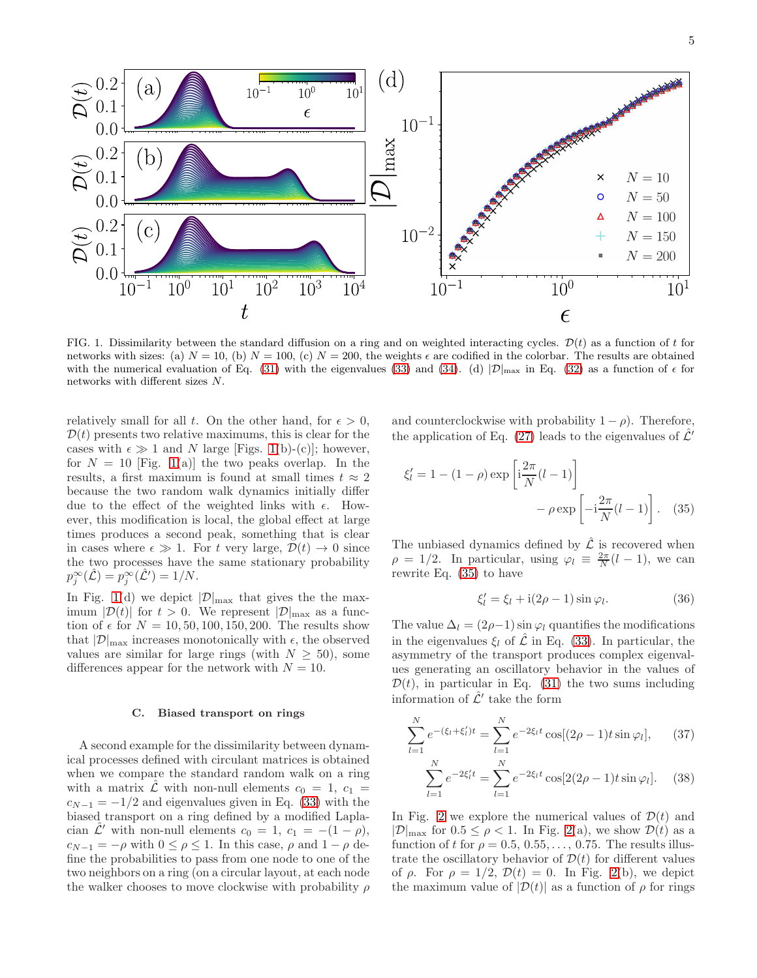

<span id="page-4-0"></span>FIG. 1. Dissimilarity between the standard diffusion on a ring and on weighted interacting cycles.  $\mathcal{D}(t)$  as a function of t for networks with sizes: (a)  $N = 10$ , (b)  $N = 100$ , (c)  $N = 200$ , the weights  $\epsilon$  are codified in the colorbar. The results are obtained with the numerical evaluation of Eq. [\(31\)](#page-3-2) with the eigenvalues [\(33\)](#page-3-3) and [\(34\)](#page-3-4). (d)  $|\mathcal{D}|_{\text{max}}$  in Eq. [\(32\)](#page-3-5) as a function of  $\epsilon$  for networks with different sizes N.

relatively small for all t. On the other hand, for  $\epsilon > 0$ ,  $\mathcal{D}(t)$  presents two relative maximums, this is clear for the cases with  $\epsilon \gg 1$  and N large [Figs. [1\(](#page-4-0)b)-(c)]; however, for  $N = 10$  [Fig. [1\(](#page-4-0)a)] the two peaks overlap. In the results, a first maximum is found at small times  $t \approx 2$ because the two random walk dynamics initially differ due to the effect of the weighted links with  $\epsilon$ . However, this modification is local, the global effect at large times produces a second peak, something that is clear in cases where  $\epsilon \gg 1$ . For t very large,  $\mathcal{D}(t) \rightarrow 0$  since the two processes have the same stationary probability  $p_j^{\infty}(\hat{\mathcal{L}}) = p_j^{\infty}(\hat{\mathcal{L}}') = 1/N.$ 

In Fig. [1\(](#page-4-0)d) we depict  $|\mathcal{D}|_{\text{max}}$  that gives the the maximum  $|\mathcal{D}(t)|$  for  $t > 0$ . We represent  $|\mathcal{D}|_{\text{max}}$  as a function of  $\epsilon$  for  $N = 10, 50, 100, 150, 200$ . The results show that  $|\mathcal{D}|_{\text{max}}$  increases monotonically with  $\epsilon$ , the observed values are similar for large rings (with  $N \geq 50$ ), some differences appear for the network with  $N = 10$ .

### C. Biased transport on rings

A second example for the dissimilarity between dynamical processes defined with circulant matrices is obtained when we compare the standard random walk on a ring with a matrix  $\hat{\mathcal{L}}$  with non-null elements  $c_0 = 1, c_1 =$  $c_{N-1} = -1/2$  and eigenvalues given in Eq. [\(33\)](#page-3-3) with the biased transport on a ring defined by a modified Laplacian  $\mathcal{L}'$  with non-null elements  $c_0 = 1$ ,  $c_1 = -(1 - \rho)$ ,  $c_{N-1} = -\rho$  with  $0 \leq \rho \leq 1$ . In this case,  $\rho$  and  $1 - \rho$  define the probabilities to pass from one node to one of the two neighbors on a ring (on a circular layout, at each node the walker chooses to move clockwise with probability  $\rho$  and counterclockwise with probability  $1 - \rho$ ). Therefore, the application of Eq. [\(27\)](#page-3-1) leads to the eigenvalues of  $\mathcal{L}'$ 

$$
\xi'_{l} = 1 - (1 - \rho) \exp\left[i\frac{2\pi}{N}(l-1)\right] - \rho \exp\left[-i\frac{2\pi}{N}(l-1)\right].
$$
 (35)

The unbiased dynamics defined by  $\hat{\mathcal{L}}$  is recovered when  $\rho = 1/2$ . In particular, using  $\varphi_l \equiv \frac{2\pi}{N}(l-1)$ , we can rewrite Eq. [\(35\)](#page-4-1) to have

<span id="page-4-2"></span><span id="page-4-1"></span>
$$
\xi'_l = \xi_l + i(2\rho - 1)\sin\varphi_l. \tag{36}
$$

The value  $\Delta_l = (2\rho - 1) \sin \varphi_l$  quantifies the modifications in the eigenvalues  $\xi_l$  of  $\hat{\mathcal{L}}$  in Eq. [\(33\)](#page-3-3). In particular, the asymmetry of the transport produces complex eigenvalues generating an oscillatory behavior in the values of  $\mathcal{D}(t)$ , in particular in Eq. [\(31\)](#page-3-2) the two sums including information of  $\hat{\mathcal{L}}'$  take the form

$$
\sum_{l=1}^{N} e^{-(\xi_l + \xi'_l)t} = \sum_{l=1}^{N} e^{-2\xi_l t} \cos[(2\rho - 1)t \sin \varphi_l], \qquad (37)
$$

$$
\sum_{l=1}^{N} e^{-2\xi'_{l}t} = \sum_{l=1}^{N} e^{-2\xi_{l}t} \cos[2(2\rho - 1)t \sin \varphi_{l}]. \quad (38)
$$

In Fig. [2](#page-5-1) we explore the numerical values of  $\mathcal{D}(t)$  and  $|\mathcal{D}|_{\text{max}}$  for  $0.5 \leq \rho < 1$ . In Fig. [2\(](#page-5-1)a), we show  $\mathcal{D}(t)$  as a function of t for  $\rho = 0.5, 0.55, \ldots, 0.75$ . The results illustrate the oscillatory behavior of  $\mathcal{D}(t)$  for different values of  $\rho$ . For  $\rho = 1/2$ ,  $\mathcal{D}(t) = 0$ . In Fig. [2\(](#page-5-1)b), we depict the maximum value of  $|\mathcal{D}(t)|$  as a function of  $\rho$  for rings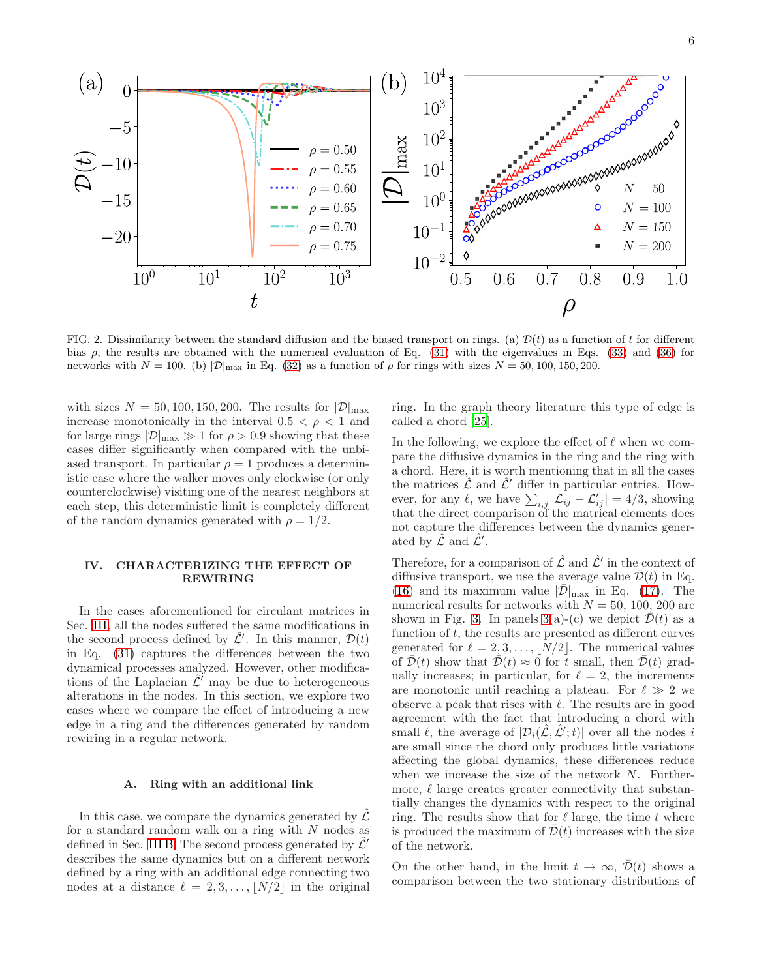

<span id="page-5-1"></span>FIG. 2. Dissimilarity between the standard diffusion and the biased transport on rings. (a)  $\mathcal{D}(t)$  as a function of t for different bias  $\rho$ , the results are obtained with the numerical evaluation of Eq. [\(31\)](#page-3-2) with the eigenvalues in Eqs. [\(33\)](#page-3-3) and [\(36\)](#page-4-2) for networks with  $N = 100$ . (b)  $|\mathcal{D}|_{\text{max}}$  in Eq. [\(32\)](#page-3-5) as a function of  $\rho$  for rings with sizes  $N = 50, 100, 150, 200$ .

with sizes  $N = 50, 100, 150, 200$ . The results for  $|\mathcal{D}|_{\text{max}}$ increase monotonically in the interval  $0.5 < \rho < 1$  and for large rings  $|\mathcal{D}|_{\text{max}} \gg 1$  for  $\rho > 0.9$  showing that these cases differ significantly when compared with the unbiased transport. In particular  $\rho = 1$  produces a deterministic case where the walker moves only clockwise (or only counterclockwise) visiting one of the nearest neighbors at each step, this deterministic limit is completely different of the random dynamics generated with  $\rho = 1/2$ .

# <span id="page-5-0"></span>IV. CHARACTERIZING THE EFFECT OF REWIRING

In the cases aforementioned for circulant matrices in Sec. [III,](#page-2-0) all the nodes suffered the same modifications in the second process defined by  $\hat{\mathcal{L}}'$ . In this manner,  $\mathcal{D}(t)$ in Eq. [\(31\)](#page-3-2) captures the differences between the two dynamical processes analyzed. However, other modifications of the Laplacian  $\mathcal{L}'$  may be due to heterogeneous alterations in the nodes. In this section, we explore two cases where we compare the effect of introducing a new edge in a ring and the differences generated by random rewiring in a regular network.

## A. Ring with an additional link

In this case, we compare the dynamics generated by  $\mathcal{L}$ for a standard random walk on a ring with N nodes as defined in Sec. [III B.](#page-3-6) The second process generated by  $\mathcal{L}'$ describes the same dynamics but on a different network defined by a ring with an additional edge connecting two nodes at a distance  $\ell = 2, 3, \ldots, \lfloor N/2 \rfloor$  in the original

ring. In the graph theory literature this type of edge is called a chord [\[25\]](#page-11-3).

In the following, we explore the effect of  $\ell$  when we compare the diffusive dynamics in the ring and the ring with a chord. Here, it is worth mentioning that in all the cases the matrices  $\mathcal L$  and  $\mathcal L'$  differ in particular entries. However, for any  $\ell$ , we have  $\sum_{i,j} |\mathcal{L}_{ij} - \mathcal{L}'_{ij}| = 4/3$ , showing that the direct comparison of the matrical elements does not capture the differences between the dynamics generated by  $\hat{\mathcal{L}}$  and  $\hat{\mathcal{L}}'$ .

Therefore, for a comparison of  $\hat{\mathcal{L}}$  and  $\hat{\mathcal{L}}'$  in the context of diffusive transport, we use the average value  $\bar{\mathcal{D}}(t)$  in Eq. [\(16\)](#page-2-4) and its maximum value  $|\bar{\mathcal{D}}|_{\text{max}}$  in Eq. [\(17\)](#page-2-5). The numerical results for networks with  $N = 50, 100, 200$  are shown in Fig. [3.](#page-6-0) In panels  $3(a)-(c)$  $3(a)-(c)$  we depict  $\overline{\mathcal{D}}(t)$  as a function of  $t$ , the results are presented as different curves generated for  $\ell = 2, 3, \ldots, |N/2|$ . The numerical values of  $\mathcal{D}(t)$  show that  $\mathcal{D}(t) \approx 0$  for t small, then  $\mathcal{D}(t)$  gradually increases; in particular, for  $\ell = 2$ , the increments are monotonic until reaching a plateau. For  $\ell \gg 2$  we observe a peak that rises with  $\ell$ . The results are in good agreement with the fact that introducing a chord with small  $\ell$ , the average of  $|\mathcal{D}_i(\hat{\mathcal{L}}, \hat{\mathcal{L}}'; t)|$  over all the nodes i are small since the chord only produces little variations affecting the global dynamics, these differences reduce when we increase the size of the network  $N$ . Furthermore,  $\ell$  large creates greater connectivity that substantially changes the dynamics with respect to the original ring. The results show that for  $\ell$  large, the time t where is produced the maximum of  $\mathcal{D}(t)$  increases with the size of the network.

On the other hand, in the limit  $t \to \infty$ ,  $\mathcal{D}(t)$  shows a comparison between the two stationary distributions of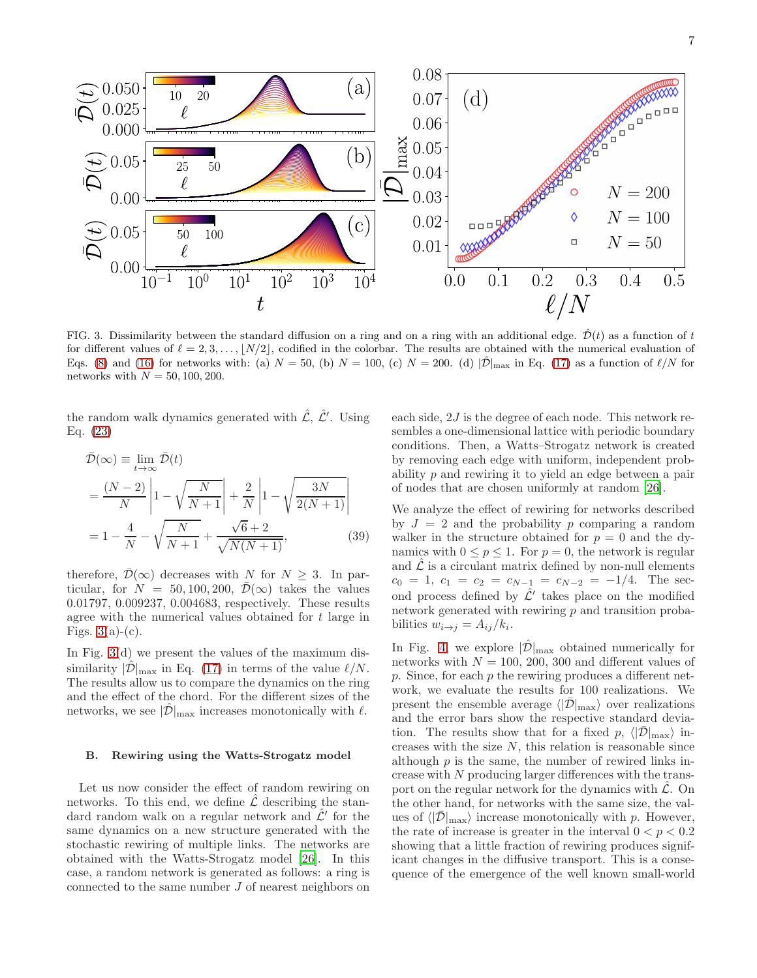

<span id="page-6-0"></span>FIG. 3. Dissimilarity between the standard diffusion on a ring and on a ring with an additional edge.  $\hat{\mathcal{D}}(t)$  as a function of t for different values of  $\ell = 2, 3, \ldots, \lfloor N/2 \rfloor$ , codified in the colorbar. The results are obtained with the numerical evaluation of Eqs. [\(8\)](#page-1-2) and [\(16\)](#page-2-4) for networks with: (a)  $N = 50$ , (b)  $N = 100$ , (c)  $N = 200$ . (d)  $|\hat{\mathcal{D}}|_{\text{max}}$  in Eq. [\(17\)](#page-2-5) as a function of  $\ell/N$  for networks with  $N = 50, 100, 200$ .

the random walk dynamics generated with  $\hat{\mathcal{L}}$ ,  $\hat{\mathcal{L}}'$ . Using Eq. [\(23\)](#page-2-6)

$$
\bar{\mathcal{D}}(\infty) \equiv \lim_{t \to \infty} \bar{\mathcal{D}}(t) \n= \frac{(N-2)}{N} \left| 1 - \sqrt{\frac{N}{N+1}} \right| + \frac{2}{N} \left| 1 - \sqrt{\frac{3N}{2(N+1)}} \right| \n= 1 - \frac{4}{N} - \sqrt{\frac{N}{N+1}} + \frac{\sqrt{6} + 2}{\sqrt{N(N+1)}},
$$
\n(39)

therefore,  $\bar{\mathcal{D}}(\infty)$  decreases with N for  $N \geq 3$ . In particular, for  $N = 50, 100, 200, \bar{\mathcal{D}}(\infty)$  takes the values 0.01797, 0.009237, 0.004683, respectively. These results agree with the numerical values obtained for t large in Figs.  $3(a)-(c)$  $3(a)-(c)$ .

In Fig. [3\(](#page-6-0)d) we present the values of the maximum dissimilarity  $|\mathcal{D}|_{\text{max}}$  in Eq. [\(17\)](#page-2-5) in terms of the value  $\ell/N$ . The results allow us to compare the dynamics on the ring and the effect of the chord. For the different sizes of the networks, we see  $|\mathcal{D}|_{\text{max}}$  increases monotonically with  $\ell$ .

### B. Rewiring using the Watts-Strogatz model

Let us now consider the effect of random rewiring on networks. To this end, we define  $\hat{\mathcal{L}}$  describing the standard random walk on a regular network and  $\hat{\mathcal{L}}'$  for the same dynamics on a new structure generated with the stochastic rewiring of multiple links. The networks are obtained with the Watts-Strogatz model [\[26](#page-11-4)]. In this case, a random network is generated as follows: a ring is connected to the same number J of nearest neighbors on

each side, 2J is the degree of each node. This network resembles a one-dimensional lattice with periodic boundary conditions. Then, a Watts–Strogatz network is created by removing each edge with uniform, independent probability p and rewiring it to yield an edge between a pair of nodes that are chosen uniformly at random [\[26](#page-11-4)].

We analyze the effect of rewiring for networks described by  $J = 2$  and the probability p comparing a random walker in the structure obtained for  $p = 0$  and the dynamics with  $0 \le p \le 1$ . For  $p = 0$ , the network is regular and  $\mathcal L$  is a circulant matrix defined by non-null elements  $c_0 = 1, c_1 = c_2 = c_{N-1} = c_{N-2} = -1/4.$  The second process defined by  $\hat{\mathcal{L}}'$  takes place on the modified network generated with rewiring  $p$  and transition probabilities  $w_{i\rightarrow j} = A_{ij}/k_i$ .

In Fig. [4,](#page-7-1) we explore  $|\hat{\mathcal{D}}|_{\text{max}}$  obtained numerically for networks with  $N = 100, 200, 300$  and different values of  $p.$  Since, for each  $p$  the rewiring produces a different network, we evaluate the results for 100 realizations. We present the ensemble average  $\langle |\bar{\mathcal{D}}|_{\text{max}} \rangle$  over realizations and the error bars show the respective standard deviation. The results show that for a fixed p,  $\langle |\bar{\mathcal{D}}|_{\text{max}} \rangle$  increases with the size  $N$ , this relation is reasonable since although  $p$  is the same, the number of rewired links increase with N producing larger differences with the transport on the regular network for the dynamics with  $\hat{\mathcal{L}}$ . On the other hand, for networks with the same size, the values of  $\langle |\bar{\mathcal{D}}|_{\text{max}} \rangle$  increase monotonically with p. However, the rate of increase is greater in the interval  $0 < p < 0.2$ showing that a little fraction of rewiring produces significant changes in the diffusive transport. This is a consequence of the emergence of the well known small-world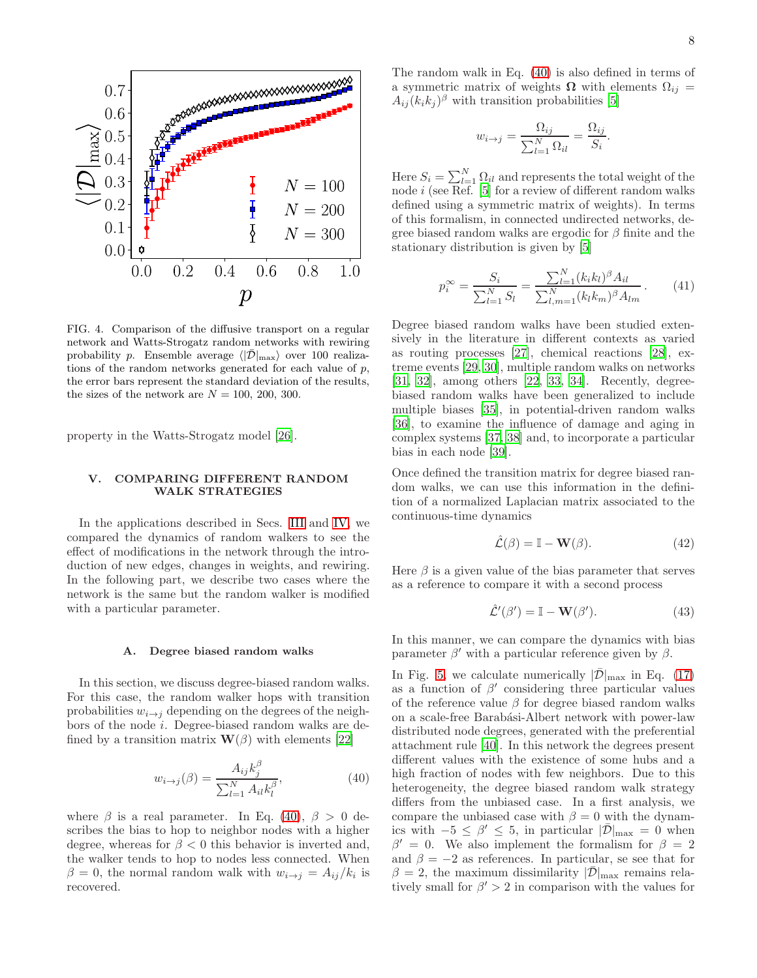

<span id="page-7-1"></span>FIG. 4. Comparison of the diffusive transport on a regular network and Watts-Strogatz random networks with rewiring probability p. Ensemble average  $\langle |\mathcal{D}|_{\text{max}} \rangle$  over 100 realizations of the random networks generated for each value of p, the error bars represent the standard deviation of the results, the sizes of the network are  $N = 100, 200, 300$ .

property in the Watts-Strogatz model [\[26](#page-11-4)].

# <span id="page-7-0"></span>V. COMPARING DIFFERENT RANDOM WALK STRATEGIES

In the applications described in Secs. [III](#page-2-0) and [IV,](#page-5-0) we compared the dynamics of random walkers to see the effect of modifications in the network through the introduction of new edges, changes in weights, and rewiring. In the following part, we describe two cases where the network is the same but the random walker is modified with a particular parameter.

### A. Degree biased random walks

In this section, we discuss degree-biased random walks. For this case, the random walker hops with transition probabilities  $w_{i\rightarrow j}$  depending on the degrees of the neighbors of the node i. Degree-biased random walks are defined by a transition matrix  $\mathbf{W}(\beta)$  with elements [\[22\]](#page-11-0)

<span id="page-7-2"></span>
$$
w_{i \to j}(\beta) = \frac{A_{ij}k_j^{\beta}}{\sum_{l=1}^{N} A_{il}k_l^{\beta}},\tag{40}
$$

where  $\beta$  is a real parameter. In Eq. [\(40\)](#page-7-2),  $\beta > 0$  describes the bias to hop to neighbor nodes with a higher degree, whereas for  $\beta < 0$  this behavior is inverted and, the walker tends to hop to nodes less connected. When  $\beta = 0$ , the normal random walk with  $w_{i \to j} = A_{ij}/k_i$  is recovered.

The random walk in Eq. [\(40\)](#page-7-2) is also defined in terms of a symmetric matrix of weights  $\Omega$  with elements  $\Omega_{ij}$  =  $A_{ij} (k_i k_j)^{\beta}$  with transition probabilities [\[5\]](#page-10-2)

$$
w_{i \to j} = \frac{\Omega_{ij}}{\sum_{l=1}^{N} \Omega_{il}} = \frac{\Omega_{ij}}{S_i}.
$$

Here  $S_i = \sum_{l=1}^{N} \Omega_{il}$  and represents the total weight of the node i (see Ref. [\[5](#page-10-2)] for a review of different random walks defined using a symmetric matrix of weights). In terms of this formalism, in connected undirected networks, degree biased random walks are ergodic for  $\beta$  finite and the stationary distribution is given by [\[5](#page-10-2)]

$$
p_i^{\infty} = \frac{S_i}{\sum_{l=1}^{N} S_l} = \frac{\sum_{l=1}^{N} (k_i k_l)^{\beta} A_{il}}{\sum_{l,m=1}^{N} (k_l k_m)^{\beta} A_{lm}}.
$$
 (41)

Degree biased random walks have been studied extensively in the literature in different contexts as varied as routing processes [\[27](#page-11-5)], chemical reactions [\[28\]](#page-11-6), extreme events [\[29,](#page-11-7) [30\]](#page-11-8), multiple random walks on networks [\[31,](#page-11-9) [32\]](#page-11-10), among others [\[22](#page-11-0), [33,](#page-11-11) [34](#page-11-12)]. Recently, degreebiased random walks have been generalized to include multiple biases [\[35](#page-11-13)], in potential-driven random walks [\[36\]](#page-11-14), to examine the influence of damage and aging in complex systems [\[37,](#page-11-15) [38](#page-11-16)] and, to incorporate a particular bias in each node [\[39](#page-11-17)].

Once defined the transition matrix for degree biased random walks, we can use this information in the definition of a normalized Laplacian matrix associated to the continuous-time dynamics

$$
\hat{\mathcal{L}}(\beta) = \mathbb{I} - \mathbf{W}(\beta). \tag{42}
$$

Here  $\beta$  is a given value of the bias parameter that serves as a reference to compare it with a second process

$$
\hat{\mathcal{L}}'(\beta') = \mathbb{I} - \mathbf{W}(\beta'). \tag{43}
$$

In this manner, we can compare the dynamics with bias parameter  $\beta'$  with a particular reference given by  $\beta$ .

In Fig. [5,](#page-8-0) we calculate numerically  $|\mathcal{D}|_{\text{max}}$  in Eq. [\(17\)](#page-2-5) as a function of  $\beta'$  considering three particular values of the reference value  $\beta$  for degree biased random walks on a scale-free Barabási-Albert network with power-law distributed node degrees, generated with the preferential attachment rule [\[40](#page-11-18)]. In this network the degrees present different values with the existence of some hubs and a high fraction of nodes with few neighbors. Due to this heterogeneity, the degree biased random walk strategy differs from the unbiased case. In a first analysis, we compare the unbiased case with  $\beta = 0$  with the dynamics with  $-5 \leq \beta' \leq 5$ , in particular  $|\bar{\mathcal{D}}|_{\max} = 0$  when  $\beta' = 0$ . We also implement the formalism for  $\beta = 2$ and  $\beta = -2$  as references. In particular, se see that for  $\beta = 2$ , the maximum dissimilarity  $|\mathcal{D}|_{\text{max}}$  remains relatively small for  $\beta' > 2$  in comparison with the values for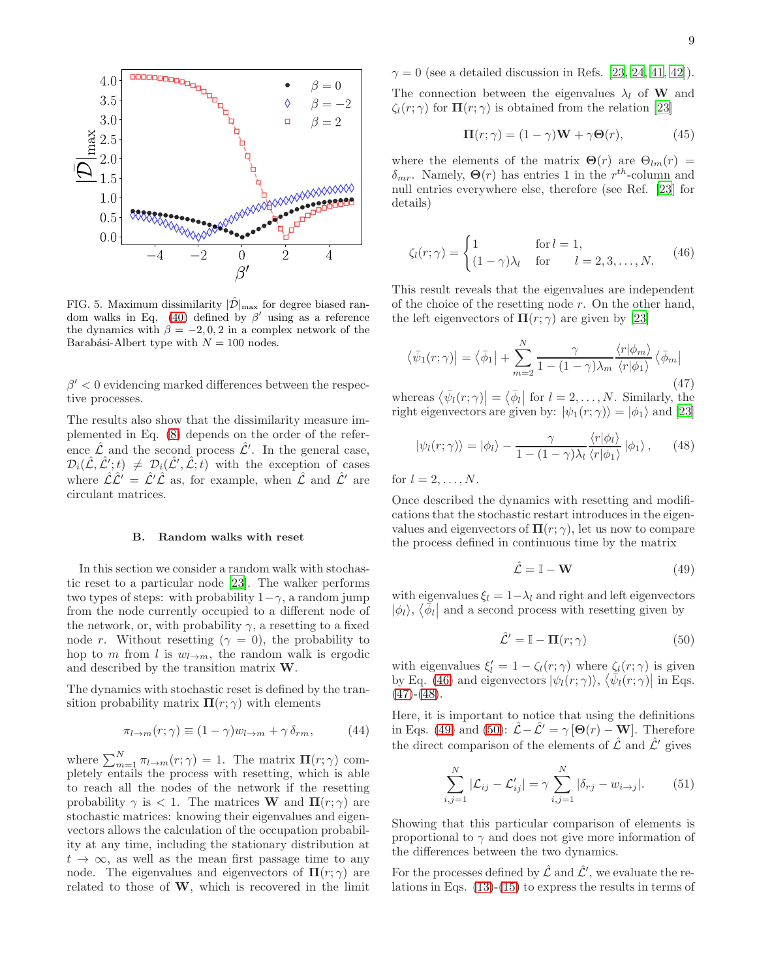

<span id="page-8-0"></span>FIG. 5. Maximum dissimilarity  $|\hat{\mathcal{D}}|_{\text{max}}$  for degree biased ran-dom walks in Eq. [\(40\)](#page-7-2) defined by  $\beta'$  using as a reference the dynamics with  $\beta = -2, 0, 2$  in a complex network of the Barabási-Albert type with  $N = 100$  nodes.

 $\beta' < 0$  evidencing marked differences between the respective processes.

The results also show that the dissimilarity measure implemented in Eq. [\(8\)](#page-1-2) depends on the order of the reference  $\hat{\mathcal{L}}$  and the second process  $\hat{\mathcal{L}}'$ . In the general case,  $\mathcal{D}_i(\hat{\mathcal{L}}, \hat{\mathcal{L}}'; t) \neq \mathcal{D}_i(\hat{\mathcal{L}}', \hat{\mathcal{L}}; t)$  with the exception of cases where  $\hat{\mathcal{L}}\hat{\mathcal{L}}' = \hat{\mathcal{L}}'\hat{\mathcal{L}}$  as, for example, when  $\hat{\mathcal{L}}$  and  $\hat{\mathcal{L}}'$  are circulant matrices.

#### B. Random walks with reset

In this section we consider a random walk with stochastic reset to a particular node [\[23\]](#page-11-1). The walker performs two types of steps: with probability  $1-\gamma$ , a random jump from the node currently occupied to a different node of the network, or, with probability  $\gamma$ , a resetting to a fixed node r. Without resetting ( $\gamma = 0$ ), the probability to hop to m from l is  $w_{l\rightarrow m}$ , the random walk is ergodic and described by the transition matrix W.

The dynamics with stochastic reset is defined by the transition probability matrix  $\Pi(r;\gamma)$  with elements

$$
\pi_{l \to m}(r; \gamma) \equiv (1 - \gamma)w_{l \to m} + \gamma \,\delta_{rm}, \tag{44}
$$

where  $\sum_{m=1}^{N} \pi_{l \to m}(r; \gamma) = 1$ . The matrix  $\Pi(r; \gamma)$  completely entails the process with resetting, which is able to reach all the nodes of the network if the resetting probability  $\gamma$  is  $\langle 1$ . The matrices **W** and  $\Pi(r;\gamma)$  are stochastic matrices: knowing their eigenvalues and eigenvectors allows the calculation of the occupation probability at any time, including the stationary distribution at  $t \to \infty$ , as well as the mean first passage time to any node. The eigenvalues and eigenvectors of  $\Pi(r;\gamma)$  are related to those of  $W$ , which is recovered in the limit

 $\gamma = 0$  (see a detailed discussion in Refs. [\[23](#page-11-1), [24](#page-11-2), [41,](#page-11-19) [42\]](#page-11-20)).

The connection between the eigenvalues  $\lambda_l$  of **W** and  $\zeta_l(r;\gamma)$  for  $\Pi(r;\gamma)$  is obtained from the relation [\[23\]](#page-11-1)

$$
\mathbf{\Pi}(r;\gamma) = (1-\gamma)\mathbf{W} + \gamma \mathbf{\Theta}(r),\tag{45}
$$

where the elements of the matrix  $\mathbf{\Theta}(r)$  are  $\Theta_{lm}(r)$  =  $\delta_{mr}$ . Namely,  $\Theta(r)$  has entries 1 in the  $r^{th}$ -column and null entries everywhere else, therefore (see Ref. [\[23\]](#page-11-1) for details)

<span id="page-8-1"></span>
$$
\zeta_l(r;\gamma) = \begin{cases} 1 & \text{for } l = 1, \\ (1 - \gamma)\lambda_l & \text{for } l = 2, 3, \dots, N. \end{cases}
$$
(46)

This result reveals that the eigenvalues are independent of the choice of the resetting node  $r$ . On the other hand, the left eigenvectors of  $\Pi(r;\gamma)$  are given by [\[23\]](#page-11-1)

<span id="page-8-2"></span>
$$
\langle \bar{\psi}_1(r;\gamma) | = \langle \bar{\phi}_1 | + \sum_{m=2}^N \frac{\gamma}{1 - (1 - \gamma)\lambda_m} \frac{\langle r | \phi_m \rangle}{\langle r | \phi_1 \rangle} \langle \bar{\phi}_m |
$$
\n(47)

whereas  $\langle \bar{\psi}_l(r;\gamma) | = \langle \bar{\phi}_l |$  for  $l = 2, ..., N$ . Similarly, the right eigenvectors are given by:  $|\psi_1(r;\gamma)\rangle = |\phi_1\rangle$  and [\[23](#page-11-1)]

<span id="page-8-3"></span>
$$
|\psi_l(r;\gamma)\rangle = |\phi_l\rangle - \frac{\gamma}{1 - (1 - \gamma)\lambda_l} \frac{\langle r|\phi_l\rangle}{\langle r|\phi_1\rangle} |\phi_1\rangle, \qquad (48)
$$

for  $l = 2, \ldots, N$ .

Once described the dynamics with resetting and modifications that the stochastic restart introduces in the eigenvalues and eigenvectors of  $\Pi(r; \gamma)$ , let us now to compare the process defined in continuous time by the matrix

<span id="page-8-4"></span>
$$
\hat{\mathcal{L}} = \mathbb{I} - \mathbf{W} \tag{49}
$$

with eigenvalues  $\xi_l = 1 - \lambda_l$  and right and left eigenvectors  $|\phi_l\rangle$ ,  $\langle \bar{\phi}_l|$  and a second process with resetting given by

<span id="page-8-5"></span>
$$
\hat{\mathcal{L}}' = \mathbb{I} - \mathbf{\Pi}(r; \gamma) \tag{50}
$$

with eigenvalues  $\xi'_l = 1 - \zeta_l(r; \gamma)$  where  $\zeta_l(r; \gamma)$  is given by Eq. [\(46\)](#page-8-1) and eigenvectors  $|\psi_i(r;\gamma)\rangle$ ,  $\langle \bar{\psi}_i(r;\gamma)|$  in Eqs.  $(47)-(48)$  $(47)-(48)$  $(47)-(48)$ .

Here, it is important to notice that using the definitions in Eqs. [\(49\)](#page-8-4) and [\(50\)](#page-8-5):  $\mathcal{L} - \mathcal{L}' = \gamma [\Theta(r) - \mathbf{W}]$ . Therefore the direct comparison of the elements of  $\hat{\mathcal{L}}$  and  $\hat{\mathcal{L}}'$  gives

<span id="page-8-6"></span>
$$
\sum_{i,j=1}^{N} |\mathcal{L}_{ij} - \mathcal{L}'_{ij}| = \gamma \sum_{i,j=1}^{N} |\delta_{rj} - w_{i \to j}|.
$$
 (51)

Showing that this particular comparison of elements is proportional to  $\gamma$  and does not give more information of the differences between the two dynamics.

For the processes defined by  $\hat{\mathcal{L}}$  and  $\hat{\mathcal{L}}'$ , we evaluate the relations in Eqs. [\(13\)](#page-2-1)-[\(15\)](#page-2-2) to express the results in terms of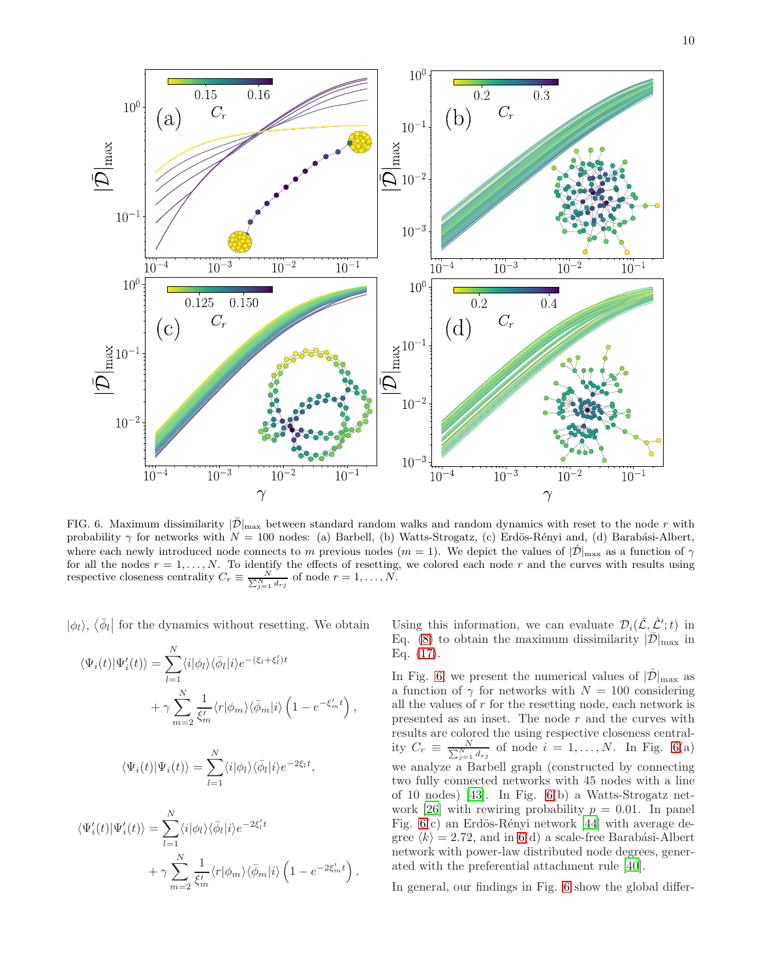

<span id="page-9-0"></span>FIG. 6. Maximum dissimilarity  $|\bar{\mathcal{D}}|_{\text{max}}$  between standard random walks and random dynamics with reset to the node r with probability  $\gamma$  for networks with  $N = 100$  nodes: (a) Barbell, (b) Watts-Strogatz, (c) Erdös-Rényi and, (d) Barabási-Albert, where each newly introduced node connects to m previous nodes  $(m = 1)$ . We depict the values of  $|\hat{\mathcal{D}}|_{\text{max}}$  as a function of  $\gamma$ for all the nodes  $r = 1, ..., N$ . To identify the effects of resetting, we colored each node r and the curves with results using respective closeness centrality  $C_r \equiv \frac{N}{\sum_{j=1}^N d_{rj}}$  of node  $r = 1, ..., N$ .

 $|\phi_l\rangle$ ,  $\langle \bar{\phi}_l|$  for the dynamics without resetting. We obtain

$$
\langle \Psi_i(t) | \Psi'_i(t) \rangle = \sum_{l=1}^N \langle i | \phi_l \rangle \langle \bar{\phi}_l | i \rangle e^{-(\xi_l + \xi'_l)t} + \gamma \sum_{m=2}^N \frac{1}{\xi'_m} \langle r | \phi_m \rangle \langle \bar{\phi}_m | i \rangle \left( 1 - e^{-\xi'_m t} \right),
$$

$$
\langle \Psi_i(t) | \Psi_i(t) \rangle = \sum_{l=1}^N \langle i | \phi_l \rangle \langle \bar{\phi}_l | i \rangle e^{-2\xi_l t},
$$

$$
\langle \Psi'_i(t) | \Psi'_i(t) \rangle = \sum_{l=1}^N \langle i | \phi_l \rangle \langle \bar{\phi}_l | i \rangle e^{-2\xi'_l t} + \gamma \sum_{m=2}^N \frac{1}{\xi'_m} \langle r | \phi_m \rangle \langle \bar{\phi}_m | i \rangle \left( 1 - e^{-2\xi'_m t} \right).
$$

Using this information, we can evaluate  $\mathcal{D}_i(\hat{\mathcal{L}}, \hat{\mathcal{L}}';t)$  in Eq. [\(8\)](#page-1-2) to obtain the maximum dissimilarity  $|\bar{\mathcal{D}}|_{\text{max}}$  in Eq. [\(17\)](#page-2-5).

In Fig. [6,](#page-9-0) we present the numerical values of  $|\mathcal{D}|_{\text{max}}$  as a function of  $\gamma$  for networks with  $N = 100$  considering all the values of r for the resetting node, each network is presented as an inset. The node  $r$  and the curves with results are colored the using respective closeness centrality  $C_r \equiv \frac{N}{\sum_{j=1}^{N} d_{rj}}$  of node  $i = 1, ..., N$ . In Fig. [6\(](#page-9-0)a) we analyze a Barbell graph (constructed by connecting two fully connected networks with 45 nodes with a line of 10 nodes) [\[43\]](#page-11-21). In Fig. [6\(](#page-9-0)b) a Watts-Strogatz net-work [\[26\]](#page-11-4) with rewiring probability  $p = 0.01$ . In panel Fig.  $6(c)$  $6(c)$  an Erdös-Rényi network [\[44](#page-11-22)] with average degree  $\langle k \rangle = 2.72$ , and in [6\(](#page-9-0)d) a scale-free Barabási-Albert network with power-law distributed node degrees, generated with the preferential attachment rule [\[40\]](#page-11-18).

In general, our findings in Fig. [6](#page-9-0) show the global differ-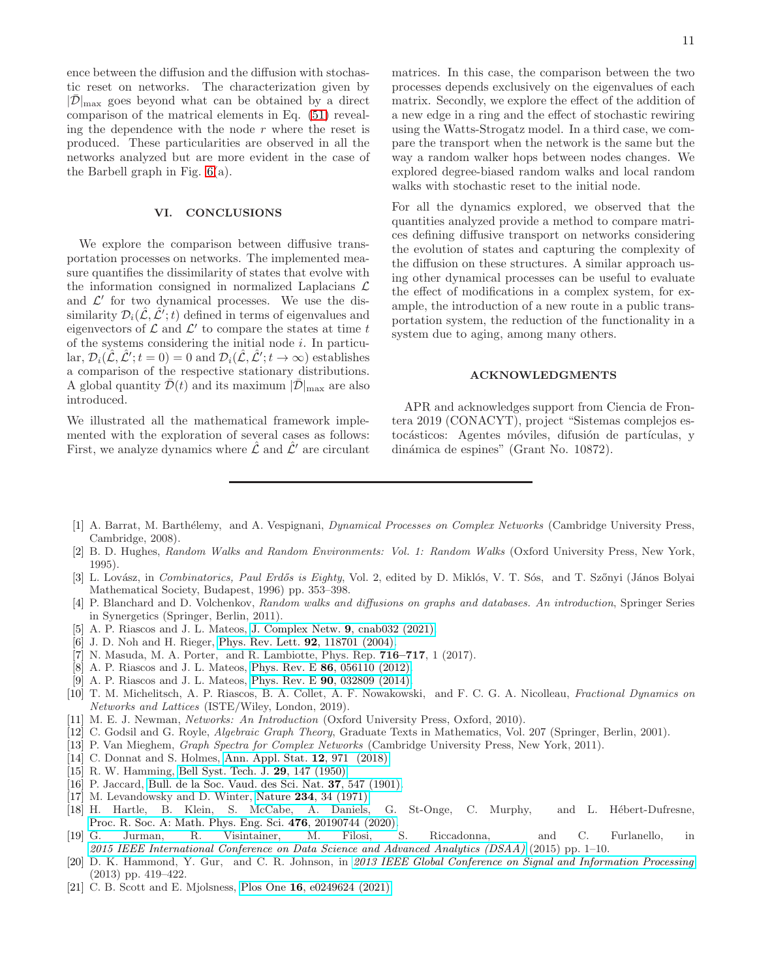ence between the diffusion and the diffusion with stochastic reset on networks. The characterization given by  $|\bar{\mathcal{D}}|_{\text{max}}$  goes beyond what can be obtained by a direct comparison of the matrical elements in Eq. [\(51\)](#page-8-6) revealing the dependence with the node  $r$  where the reset is produced. These particularities are observed in all the networks analyzed but are more evident in the case of the Barbell graph in Fig. [6\(](#page-9-0)a).

## VI. CONCLUSIONS

We explore the comparison between diffusive transportation processes on networks. The implemented measure quantifies the dissimilarity of states that evolve with the information consigned in normalized Laplacians  $\mathcal L$ and  $\mathcal{L}'$  for two dynamical processes. We use the dissimilarity  $\mathcal{D}_i(\hat{\mathcal{L}}, \hat{\mathcal{L}}'; t)$  defined in terms of eigenvalues and eigenvectors of  $\mathcal L$  and  $\mathcal L'$  to compare the states at time t of the systems considering the initial node  $i$ . In particular,  $\mathcal{D}_i(\hat{\mathcal{L}}, \hat{\mathcal{L}}'; t = 0) = 0$  and  $\mathcal{D}_i(\hat{\mathcal{L}}, \hat{\mathcal{L}}'; t \to \infty)$  establishes a comparison of the respective stationary distributions. A global quantity  $\bar{\mathcal{D}}(t)$  and its maximum  $|\bar{\mathcal{D}}|_{\text{max}}$  are also introduced.

We illustrated all the mathematical framework implemented with the exploration of several cases as follows: First, we analyze dynamics where  $\hat{\mathcal{L}}$  and  $\hat{\mathcal{L}}'$  are circulant matrices. In this case, the comparison between the two processes depends exclusively on the eigenvalues of each matrix. Secondly, we explore the effect of the addition of a new edge in a ring and the effect of stochastic rewiring using the Watts-Strogatz model. In a third case, we compare the transport when the network is the same but the way a random walker hops between nodes changes. We explored degree-biased random walks and local random walks with stochastic reset to the initial node.

For all the dynamics explored, we observed that the quantities analyzed provide a method to compare matrices defining diffusive transport on networks considering the evolution of states and capturing the complexity of the diffusion on these structures. A similar approach using other dynamical processes can be useful to evaluate the effect of modifications in a complex system, for example, the introduction of a new route in a public transportation system, the reduction of the functionality in a system due to aging, among many others.

### ACKNOWLEDGMENTS

APR and acknowledges support from Ciencia de Frontera 2019 (CONACYT), project "Sistemas complejos estocásticos: Agentes móviles, difusión de partículas, y dinámica de espines" (Grant No. 10872).

- <span id="page-10-0"></span>[1] A. Barrat, M. Barthélemy, and A. Vespignani, Dynamical Processes on Complex Networks (Cambridge University Press, Cambridge, 2008).
- <span id="page-10-15"></span>[2] B. D. Hughes, Random Walks and Random Environments: Vol. 1: Random Walks (Oxford University Press, New York, 1995).
- [3] L. Lovász, in Combinatorics, Paul Erdős is Eighty, Vol. 2, edited by D. Miklós, V. T. Sós, and T. Szőnyi (János Bolyai Mathematical Society, Budapest, 1996) pp. 353–398.
- <span id="page-10-1"></span>[4] P. Blanchard and D. Volchenkov, Random walks and diffusions on graphs and databases. An introduction, Springer Series in Synergetics (Springer, Berlin, 2011).
- <span id="page-10-2"></span>[5] A. P. Riascos and J. L. Mateos, [J. Complex Netw.](http://dx.doi.org/10.1093/comnet/cnab032) 9, cnab032 (2021).
- <span id="page-10-16"></span>[6] J. D. Noh and H. Rieger, [Phys. Rev. Lett.](http://dx.doi.org/10.1103/PhysRevLett.92.118701) **92**, 118701 (2004).
- <span id="page-10-3"></span>[7] N. Masuda, M. A. Porter, and R. Lambiotte, Phys. Rep. 716–717, 1 (2017).
- <span id="page-10-4"></span>[8] A. P. Riascos and J. L. Mateos, Phys. Rev. E 86[, 056110 \(2012\).](http://dx.doi.org/10.1103/PhysRevE.86.056110)
- [9] A. P. Riascos and J. L. Mateos, Phys. Rev. E 90[, 032809 \(2014\).](http://dx.doi.org/10.1103/PhysRevE.90.032809)
- <span id="page-10-5"></span>[10] T. M. Michelitsch, A. P. Riascos, B. A. Collet, A. F. Nowakowski, and F. C. G. A. Nicolleau, Fractional Dynamics on Networks and Lattices (ISTE/Wiley, London, 2019).
- <span id="page-10-6"></span>[11] M. E. J. Newman, Networks: An Introduction (Oxford University Press, Oxford, 2010).
- [12] C. Godsil and G. Royle, *Algebraic Graph Theory*, Graduate Texts in Mathematics, Vol. 207 (Springer, Berlin, 2001).
- <span id="page-10-7"></span>[13] P. Van Mieghem, Graph Spectra for Complex Networks (Cambridge University Press, New York, 2011).
- <span id="page-10-8"></span>[14] C. Donnat and S. Holmes, [Ann. Appl. Stat.](http://dx.doi.org/10.1214/18-AOAS1176) **12**, 971 (2018).
- <span id="page-10-9"></span>[15] R. W. Hamming, [Bell Syst. Tech. J.](http://dx.doi.org/10.1002/j.1538-7305.1950.tb00463.x) 29, 147 (1950).
- <span id="page-10-10"></span>[16] P. Jaccard, [Bull. de la Soc. Vaud. des Sci. Nat.](http://dx.doi.org/10.5169/seals-266450) 37, 547 (1901).
- <span id="page-10-11"></span>[17] M. Levandowsky and D. Winter, Nature 234[, 34 \(1971\).](http://dx.doi.org/10.1038/234034a0)
- <span id="page-10-12"></span>[18] H. Hartle, B. Klein, S. McCabe, A. Daniels, G. St-Onge, C. Murphy, and L. Hébert-Dufresne, [Proc. R. Soc. A: Math. Phys. Eng. Sci.](http://dx.doi.org/ 10.1098/rspa.2019.0744) 476, 20190744 (2020).<br>G. Jurman. R. Visintainer. M. Filosi. S.
- <span id="page-10-13"></span>[19] G. Jurman, R. Visintainer, M. Filosi, S. Riccadonna, and C. Furlanello, in [2015 IEEE International Conference on Data Science and Advanced Analytics \(DSAA\)](http://dx.doi.org/10.1109/DSAA.2015.7344816) (2015) pp. 1–10.
- [20] D. K. Hammond, Y. Gur, and C. R. Johnson, in [2013 IEEE Global Conference on Signal and Information Processing](http://dx.doi.org/10.1109/GlobalSIP.2013.6736904) (2013) pp. 419–422.
- <span id="page-10-14"></span>[21] C. B. Scott and E. Mjolsness, Plos One 16[, e0249624 \(2021\).](http://dx.doi.org/10.1371/journal.pone.0249624)